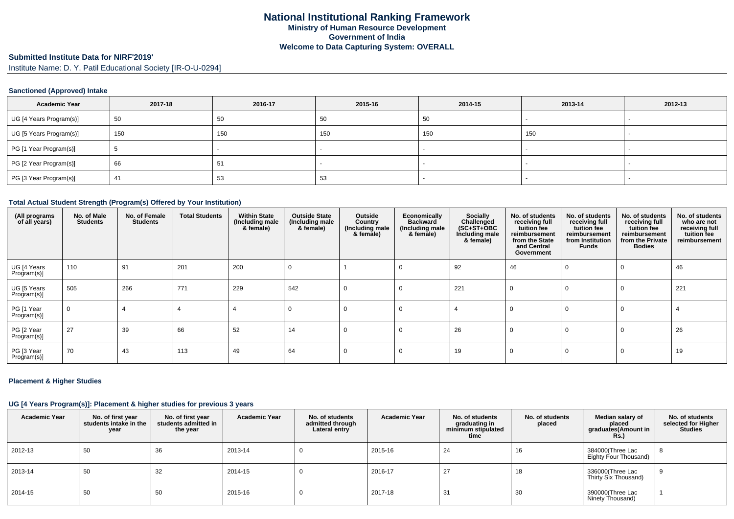# **Submitted Institute Data for NIRF'2019'**

Institute Name: D. Y. Patil Educational Society [IR-O-U-0294]

## **Sanctioned (Approved) Intake**

| Academic Year           | 2017-18 | 2016-17 | 2015-16 | 2014-15 | 2013-14 | 2012-13                  |
|-------------------------|---------|---------|---------|---------|---------|--------------------------|
| UG [4 Years Program(s)] | 50      | 50      | 50      | -50     |         |                          |
| UG [5 Years Program(s)] | 150     | 150     | 150     | 150     | 150     |                          |
| PG [1 Year Program(s)]  |         |         |         |         |         | $\overline{\phantom{a}}$ |
| PG [2 Year Program(s)]  | 66      | 51      |         |         |         |                          |
| PG [3 Year Program(s)]  | 41      | 53      | 53      |         |         |                          |

#### **Total Actual Student Strength (Program(s) Offered by Your Institution)**

| (All programs<br>of all years) | No. of Male<br><b>Students</b> | No. of Female<br><b>Students</b> | <b>Total Students</b> | <b>Within State</b><br>(Including male<br>& female) | <b>Outside State</b><br>(Including male<br>& female) | Outside<br>Country<br>(Including male<br>& female) | Economically<br><b>Backward</b><br>(Including male<br>& female) | Socially<br>Challenged<br>$(SC+ST+OBC)$<br>Including male<br>& female) | No. of students<br>receiving full<br>tuition fee<br>reimbursement<br>from the State<br>and Central<br>Government | No. of students<br>receiving full<br>tuition fee<br>reimbursement<br>from Institution<br>Funds | No. of students<br>receiving full<br>tuition fee<br>reimbursement<br>from the Private<br><b>Bodies</b> | No. of students<br>who are not<br>receiving full<br>tuition fee<br>reimbursement |
|--------------------------------|--------------------------------|----------------------------------|-----------------------|-----------------------------------------------------|------------------------------------------------------|----------------------------------------------------|-----------------------------------------------------------------|------------------------------------------------------------------------|------------------------------------------------------------------------------------------------------------------|------------------------------------------------------------------------------------------------|--------------------------------------------------------------------------------------------------------|----------------------------------------------------------------------------------|
| UG [4 Years<br>Program(s)]     | 110                            | 91                               | 201                   | 200                                                 | 0                                                    |                                                    | 0                                                               | 92                                                                     | 46                                                                                                               | $\mathbf 0$                                                                                    | $\Omega$                                                                                               | 46                                                                               |
| UG [5 Years<br>Program(s)]     | 505                            | 266                              | 771                   | 229                                                 | 542                                                  | $\Omega$                                           | $\Omega$                                                        | 221                                                                    | $\Omega$                                                                                                         | $\Omega$                                                                                       | $\Omega$                                                                                               | 221                                                                              |
| PG [1 Year<br>Program(s)]      | $\Omega$                       |                                  |                       |                                                     | $\Omega$                                             | $\Omega$                                           | $\Omega$                                                        |                                                                        | 0                                                                                                                | $\Omega$                                                                                       | $\Omega$                                                                                               |                                                                                  |
| PG [2 Year<br>Program(s)]      | 27                             | 39                               | 66                    | 52                                                  | 14                                                   | 0                                                  | $\Omega$                                                        | 26                                                                     | $\Omega$                                                                                                         | 0                                                                                              | $\Omega$                                                                                               | 26                                                                               |
| PG [3 Year<br>Program(s)]      | 70                             | 43                               | 113                   | 49                                                  | 64                                                   |                                                    | $\Omega$                                                        | 19                                                                     | $\Omega$                                                                                                         | $\Omega$                                                                                       | $\Omega$                                                                                               | 19                                                                               |

## **Placement & Higher Studies**

## **UG [4 Years Program(s)]: Placement & higher studies for previous 3 years**

| <b>Academic Year</b> | No. of first year<br>students intake in the<br>year | No. of first vear<br>students admitted in<br>the year | <b>Academic Year</b> | No. of students<br>admitted through<br>Lateral entry | <b>Academic Year</b> | No. of students<br>graduating in<br>minimum stipulated<br>time | No. of students<br>placed | Median salary of<br>placed<br>graduates(Amount in<br>Rs. | No. of students<br>selected for Higher<br><b>Studies</b> |
|----------------------|-----------------------------------------------------|-------------------------------------------------------|----------------------|------------------------------------------------------|----------------------|----------------------------------------------------------------|---------------------------|----------------------------------------------------------|----------------------------------------------------------|
| 2012-13              | 50                                                  | -36                                                   | 2013-14              |                                                      | 2015-16              | 24                                                             | 16                        | 384000(Three Lac<br>Eighty Four Thousand)                | <b>ð</b>                                                 |
| 2013-14              | 50                                                  | -32                                                   | 2014-15              |                                                      | 2016-17              | 27                                                             | 18                        | 336000(Three Lac<br>Thirty Six Thousand)                 |                                                          |
| 2014-15              | 50                                                  | -50                                                   | 2015-16              |                                                      | 2017-18              | -31                                                            | 30                        | 390000(Three Lac<br>Ninety Thousand)                     |                                                          |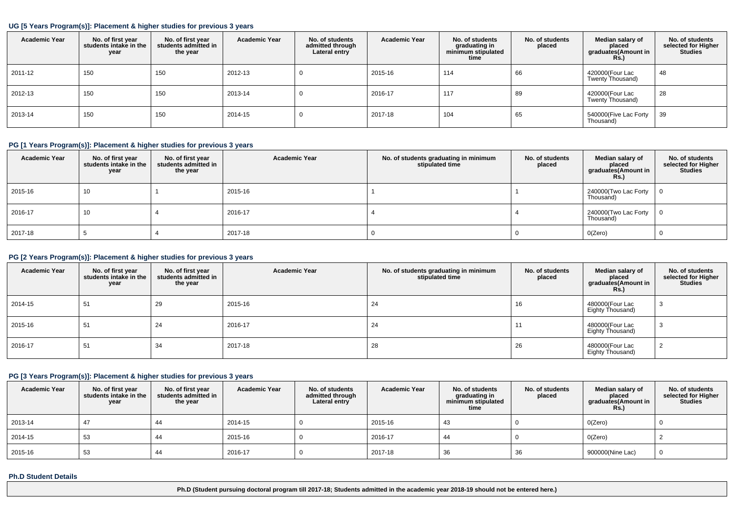#### **UG [5 Years Program(s)]: Placement & higher studies for previous 3 years**

| <b>Academic Year</b> | No. of first year<br>students intake in the<br>year | No. of first vear<br>students admitted in<br>the year | <b>Academic Year</b> | No. of students<br>admitted through<br>Lateral entry | <b>Academic Year</b> | No. of students<br>graduating in<br>minimum stipulated<br>time | No. of students<br>placed | Median salary of<br>placed<br>graduates(Amount in<br>Rs. | No. of students<br>selected for Higher<br><b>Studies</b> |
|----------------------|-----------------------------------------------------|-------------------------------------------------------|----------------------|------------------------------------------------------|----------------------|----------------------------------------------------------------|---------------------------|----------------------------------------------------------|----------------------------------------------------------|
| 2011-12              | 150                                                 | 150                                                   | 2012-13              | U                                                    | 2015-16              | 114                                                            | 66                        | 420000(Four Lac<br>Twenty Thousand)                      | 48                                                       |
| 2012-13              | 150                                                 | 150                                                   | 2013-14              | υ                                                    | 2016-17              | 117                                                            | 89                        | 420000(Four Lac<br>Twenty Thousand)                      | 28                                                       |
| 2013-14              | 150                                                 | 150                                                   | 2014-15              | U                                                    | 2017-18              | 104                                                            | 65                        | 540000(Five Lac Forty<br>Thousand)                       | 39                                                       |

## **PG [1 Years Program(s)]: Placement & higher studies for previous 3 years**

| <b>Academic Year</b> | No. of first year<br>students intake in the<br>year | No. of first year<br>students admitted in<br>the year | <b>Academic Year</b> | No. of students graduating in minimum<br>stipulated time | No. of students<br>placed | Median salary of<br>placed<br>graduates(Amount in<br>Rs. | No. of students<br>selected for Higher<br><b>Studies</b> |
|----------------------|-----------------------------------------------------|-------------------------------------------------------|----------------------|----------------------------------------------------------|---------------------------|----------------------------------------------------------|----------------------------------------------------------|
| 2015-16              | 10                                                  |                                                       | 2015-16              |                                                          |                           | 240000 (Two Lac Forty<br>Thousand)                       |                                                          |
| 2016-17              | 10                                                  |                                                       | 2016-17              |                                                          |                           | 240000 (Two Lac Forty<br>Thousand)                       |                                                          |
| 2017-18              |                                                     |                                                       | 2017-18              |                                                          |                           | O(Zero)                                                  |                                                          |

## **PG [2 Years Program(s)]: Placement & higher studies for previous 3 years**

| <b>Academic Year</b> | No. of first year<br>students intake in the<br>year | No. of first year<br>students admitted in<br>the year | <b>Academic Year</b> | No. of students graduating in minimum<br>stipulated time | No. of students<br>placed | Median salary of<br>placed<br>graduates(Amount in<br><b>Rs.)</b> | No. of students<br>selected for Higher<br><b>Studies</b> |
|----------------------|-----------------------------------------------------|-------------------------------------------------------|----------------------|----------------------------------------------------------|---------------------------|------------------------------------------------------------------|----------------------------------------------------------|
| 2014-15              | 51                                                  | 29                                                    | 2015-16              | 24                                                       | 16                        | 480000(Four Lac<br>Eighty Thousand)                              | - 11                                                     |
| 2015-16              | 51                                                  | 24                                                    | 2016-17              | 24                                                       |                           | 480000(Four Lac<br>Eighty Thousand)                              | - 0                                                      |
| 2016-17              | 51                                                  | 34                                                    | 2017-18              | 28                                                       | 26                        | 480000(Four Lac<br>Eighty Thousand)                              |                                                          |

## **PG [3 Years Program(s)]: Placement & higher studies for previous 3 years**

| <b>Academic Year</b> | No. of first year<br>students intake in the<br>year | No. of first year<br>students admitted in<br>the year | <b>Academic Year</b> | No. of students<br>admitted through<br>Lateral entry | <b>Academic Year</b> | No. of students<br>graduating in<br>minimum stipulated<br>time | No. of students<br>placed | Median salary of<br>placed<br>graduates(Amount in<br><b>Rs.)</b> | No. of students<br>selected for Higher<br><b>Studies</b> |
|----------------------|-----------------------------------------------------|-------------------------------------------------------|----------------------|------------------------------------------------------|----------------------|----------------------------------------------------------------|---------------------------|------------------------------------------------------------------|----------------------------------------------------------|
| 2013-14              | 47                                                  | 44                                                    | 2014-15              |                                                      | 2015-16              | 43                                                             |                           | O(Zero)                                                          |                                                          |
| 2014-15              | 53                                                  | 44                                                    | 2015-16              |                                                      | 2016-17              | 44                                                             |                           | O(Zero)                                                          |                                                          |
| 2015-16              | 53                                                  | 44                                                    | 2016-17              |                                                      | 2017-18              | 36                                                             | 36                        | 900000(Nine Lac)                                                 |                                                          |

#### **Ph.D Student Details**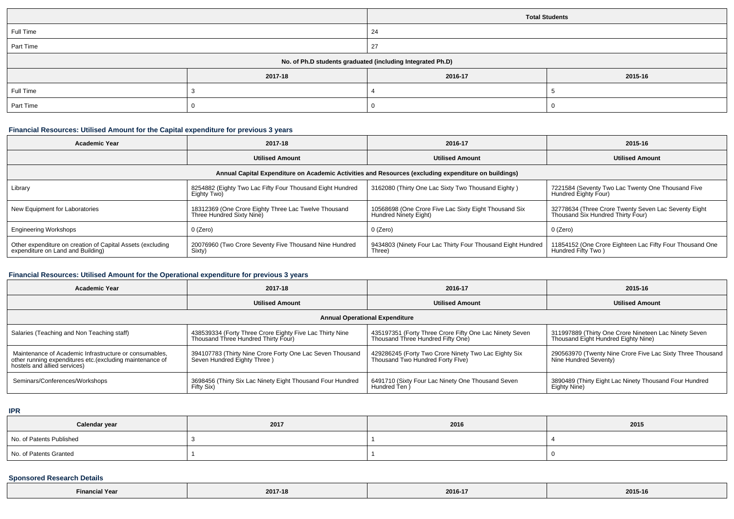|                                                            |         |         | <b>Total Students</b> |  |  |
|------------------------------------------------------------|---------|---------|-----------------------|--|--|
| Full Time                                                  |         | 24      |                       |  |  |
| Part Time                                                  |         | 27      |                       |  |  |
| No. of Ph.D students graduated (including Integrated Ph.D) |         |         |                       |  |  |
|                                                            | 2017-18 | 2016-17 | 2015-16               |  |  |
| Full Time                                                  |         |         |                       |  |  |
| Part Time                                                  |         |         |                       |  |  |

## **Financial Resources: Utilised Amount for the Capital expenditure for previous 3 years**

| Academic Year                                                                                        | 2017-18                                                                           | 2016-17                                                                        | 2015-16                                                                                   |  |  |  |  |  |
|------------------------------------------------------------------------------------------------------|-----------------------------------------------------------------------------------|--------------------------------------------------------------------------------|-------------------------------------------------------------------------------------------|--|--|--|--|--|
|                                                                                                      | <b>Utilised Amount</b>                                                            | <b>Utilised Amount</b>                                                         | <b>Utilised Amount</b>                                                                    |  |  |  |  |  |
| Annual Capital Expenditure on Academic Activities and Resources (excluding expenditure on buildings) |                                                                                   |                                                                                |                                                                                           |  |  |  |  |  |
| Library                                                                                              | 8254882 (Eighty Two Lac Fifty Four Thousand Eight Hundred<br>Eighty Two)          | 3162080 (Thirty One Lac Sixty Two Thousand Eighty)                             | 7221584 (Seventy Two Lac Twenty One Thousand Five<br>Hundred Eighty Four)                 |  |  |  |  |  |
| New Equipment for Laboratories                                                                       | 18312369 (One Crore Eighty Three Lac Twelve Thousand<br>Three Hundred Sixty Nine) | 10568698 (One Crore Five Lac Sixty Eight Thousand Six<br>Hundred Ninety Eight) | 32778634 (Three Crore Twenty Seven Lac Seventy Eight<br>Thousand Six Hundred Thirty Four) |  |  |  |  |  |
| <b>Engineering Workshops</b>                                                                         | $0$ (Zero)                                                                        | 0 (Zero)                                                                       | 0 (Zero)                                                                                  |  |  |  |  |  |
| Other expenditure on creation of Capital Assets (excluding<br>expenditure on Land and Building)      | 20076960 (Two Crore Seventy Five Thousand Nine Hundred<br>Sixty)                  | 9434803 (Ninety Four Lac Thirty Four Thousand Eight Hundred<br>Three)          | 11854152 (One Crore Eighteen Lac Fifty Four Thousand One<br>Hundred Fifty Two)            |  |  |  |  |  |

# **Financial Resources: Utilised Amount for the Operational expenditure for previous 3 years**

| <b>Academic Year</b>                                                                                                                                | 2017-18                                                                                         | 2016-17                                                                                      | 2015-16                                                                                      |  |  |  |  |
|-----------------------------------------------------------------------------------------------------------------------------------------------------|-------------------------------------------------------------------------------------------------|----------------------------------------------------------------------------------------------|----------------------------------------------------------------------------------------------|--|--|--|--|
|                                                                                                                                                     | <b>Utilised Amount</b>                                                                          | <b>Utilised Amount</b>                                                                       | <b>Utilised Amount</b>                                                                       |  |  |  |  |
| <b>Annual Operational Expenditure</b>                                                                                                               |                                                                                                 |                                                                                              |                                                                                              |  |  |  |  |
| Salaries (Teaching and Non Teaching staff)                                                                                                          | 438539334 (Forty Three Crore Eighty Five Lac Thirty Nine<br>Thousand Three Hundred Thirty Four) | 435197351 (Forty Three Crore Fifty One Lac Ninety Seven<br>Thousand Three Hundred Fifty One) | 311997889 (Thirty One Crore Nineteen Lac Ninety Seven<br>Thousand Eight Hundred Eighty Nine) |  |  |  |  |
| Maintenance of Academic Infrastructure or consumables.<br>other running expenditures etc. (excluding maintenance of<br>hostels and allied services) | 394107783 (Thirty Nine Crore Forty One Lac Seven Thousand<br>Seven Hundred Eighty Three)        | 429286245 (Forty Two Crore Ninety Two Lac Eighty Six<br>Thousand Two Hundred Forty Flve)     | 290563970 (Twenty Nine Crore Five Lac Sixty Three Thousand<br>Nine Hundred Seventy)          |  |  |  |  |
| Seminars/Conferences/Workshops                                                                                                                      | 3698456 (Thirty Six Lac Ninety Eight Thousand Four Hundred<br>Fifty Six)                        | 6491710 (Sixty Four Lac Ninety One Thousand Seven<br>Hundred Ten )                           | 3890489 (Thirty Eight Lac Ninety Thousand Four Hundred<br>Eighty Nine)                       |  |  |  |  |

**IPR**

| Calendar year            | 2017 | 2016 | 2015 |
|--------------------------|------|------|------|
| No. of Patents Published |      |      |      |
| No. of Patents Granted   |      |      |      |

## **Sponsored Research Details**

| <b>N</b> Year<br>Financial | 2017-18 | 2016-17 | 2015-16 |
|----------------------------|---------|---------|---------|
|----------------------------|---------|---------|---------|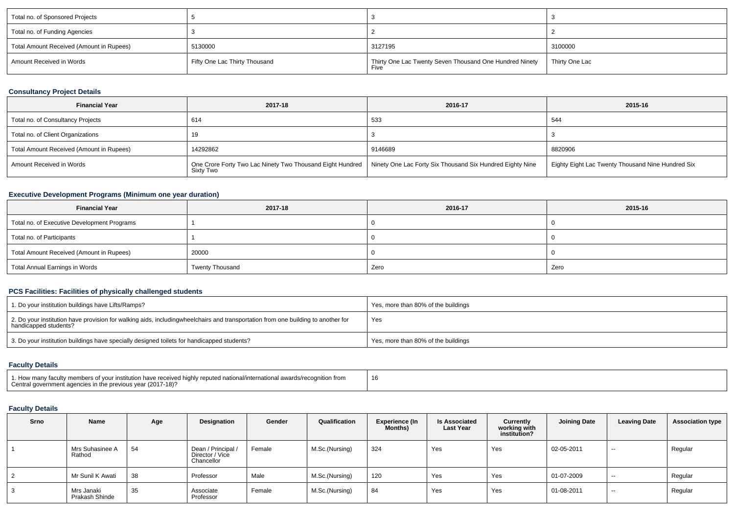| Total no. of Sponsored Projects          |                               |                                                                 |                |
|------------------------------------------|-------------------------------|-----------------------------------------------------------------|----------------|
| Total no. of Funding Agencies            |                               |                                                                 |                |
| Total Amount Received (Amount in Rupees) | 5130000                       | 3127195                                                         | 3100000        |
| Amount Received in Words                 | Fifty One Lac Thirty Thousand | Thirty One Lac Twenty Seven Thousand One Hundred Ninety<br>Five | Thirty One Lac |

# **Consultancy Project Details**

| <b>Financial Year</b>                    | 2017-18                                                                                                                            | 2016-17 | 2015-16                                           |
|------------------------------------------|------------------------------------------------------------------------------------------------------------------------------------|---------|---------------------------------------------------|
| Total no. of Consultancy Projects        | 614                                                                                                                                | 533     | 544                                               |
| Total no. of Client Organizations        |                                                                                                                                    |         |                                                   |
| Total Amount Received (Amount in Rupees) | 14292862                                                                                                                           | 9146689 | 8820906                                           |
| Amount Received in Words                 | One Crore Forty Two Lac Ninety Two Thousand Eight Hundred   Ninety One Lac Forty Six Thousand Six Hundred Eighty Nine<br>Sixty Two |         | Eighty Eight Lac Twenty Thousand Nine Hundred Six |

# **Executive Development Programs (Minimum one year duration)**

| <b>Financial Year</b>                       | 2017-18                | 2016-17 | 2015-16 |  |
|---------------------------------------------|------------------------|---------|---------|--|
| Total no. of Executive Development Programs |                        |         |         |  |
| Total no. of Participants                   |                        |         |         |  |
| Total Amount Received (Amount in Rupees)    | 20000                  |         |         |  |
| Total Annual Earnings in Words              | <b>Twenty Thousand</b> | Zero    | Zero    |  |

# **PCS Facilities: Facilities of physically challenged students**

| 1. Do your institution buildings have Lifts/Ramps?                                                                                                        | Yes, more than 80% of the buildings |
|-----------------------------------------------------------------------------------------------------------------------------------------------------------|-------------------------------------|
| 2. Do your institution have provision for walking aids, includingwheelchairs and transportation from one building to another for<br>handicapped students? | Yes                                 |
| 3. Do your institution buildings have specially designed toilets for handicapped students?                                                                | Yes, more than 80% of the buildings |

# **Faculty Details**

| 1. How many faculty members of your institution have received highly reputed national/international awards/recognition from<br>Central government agencies in the previous year (2017-18)? | 16 |
|--------------------------------------------------------------------------------------------------------------------------------------------------------------------------------------------|----|
|--------------------------------------------------------------------------------------------------------------------------------------------------------------------------------------------|----|

# **Faculty Details**

| <b>Srno</b> | Name                         | Age | Designation                                         | Gender | Qualification  | <b>Experience (In</b><br><b>Months</b> ) | <b>Is Associated</b><br><b>Last Year</b> | Currently<br>working with<br>institution? | <b>Joining Date</b> | <b>Leaving Date</b> | <b>Association type</b> |
|-------------|------------------------------|-----|-----------------------------------------------------|--------|----------------|------------------------------------------|------------------------------------------|-------------------------------------------|---------------------|---------------------|-------------------------|
|             | Mrs Suhasinee A<br>Rathod    | 54  | Dean / Principal /<br>Director / Vice<br>Chancellor | Female | M.Sc.(Nursing) | 324                                      | Yes                                      | Yes                                       | 02-05-2011          | $\sim$              | Regular                 |
|             | Mr Sunil K Awati             | 38  | Professor                                           | Male   | M.Sc.(Nursing) | 120                                      | Yes                                      | Yes                                       | 01-07-2009          | $\sim$              | Regular                 |
| 3           | Mrs Janaki<br>Prakash Shinde | 35  | Associate<br>Professor                              | Female | M.Sc.(Nursing) | 84                                       | Yes                                      | Yes                                       | 01-08-2011          | $\sim$              | Regular                 |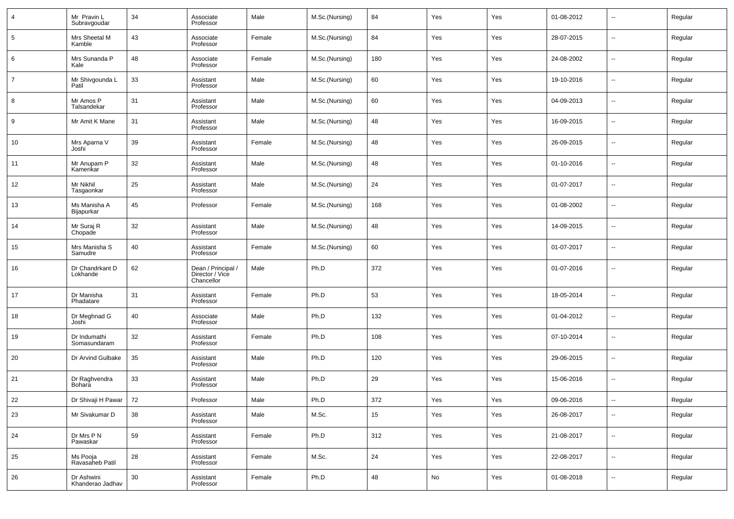|                | Mr Pravin L<br>Subravgoudar    | 34 | Associate<br>Professor                              | Male   | M.Sc.(Nursing) | 84     | Yes        | Yes | 01-08-2012 | $\overline{\phantom{a}}$ | Regular |
|----------------|--------------------------------|----|-----------------------------------------------------|--------|----------------|--------|------------|-----|------------|--------------------------|---------|
| 5              | Mrs Sheetal M<br>Kamble        | 43 | Associate<br>Professor                              | Female | M.Sc.(Nursing) | 84     | Yes        | Yes | 28-07-2015 | $\overline{\phantom{a}}$ | Regular |
| 6              | Mrs Sunanda P<br>Kale          | 48 | Associate<br>Professor                              | Female | M.Sc.(Nursing) | 180    | Yes        | Yes | 24-08-2002 | $\overline{\phantom{a}}$ | Regular |
| $\overline{7}$ | Mr Shivgounda L<br>Patil       | 33 | Assistant<br>Professor                              | Male   | M.Sc.(Nursing) | 60     | Yes        | Yes | 19-10-2016 | $\overline{\phantom{a}}$ | Regular |
| 8              | Mr Amos P<br>Talsandekar       | 31 | Assistant<br>Professor                              | Male   | M.Sc.(Nursing) | 60     | Yes        | Yes | 04-09-2013 | $\overline{\phantom{a}}$ | Regular |
| 9              | Mr Amit K Mane                 | 31 | Assistant<br>Professor                              | Male   | M.Sc.(Nursing) | 48     | Yes        | Yes | 16-09-2015 | $\overline{\phantom{a}}$ | Regular |
| 10             | Mrs Aparna V<br>Joshi          | 39 | Assistant<br>Professor                              | Female | M.Sc.(Nursing) | 48     | Yes        | Yes | 26-09-2015 | $\overline{\phantom{a}}$ | Regular |
| 11             | Mr Anupam P<br>Kamerikar       | 32 | Assistant<br>Professor                              | Male   | M.Sc.(Nursing) | 48     | Yes        | Yes | 01-10-2016 | $\overline{\phantom{a}}$ | Regular |
| 12             | Mr Nikhil<br>Tasgaonkar        | 25 | Assistant<br>Professor                              | Male   | M.Sc.(Nursing) | 24     | Yes        | Yes | 01-07-2017 | $\overline{\phantom{a}}$ | Regular |
| 13             | Ms Manisha A<br>Bijapurkar     | 45 | Professor                                           | Female | M.Sc.(Nursing) | 168    | Yes        | Yes | 01-08-2002 | $\overline{\phantom{a}}$ | Regular |
| 14             | Mr Suraj R<br>Chopade          | 32 | Assistant<br>Professor                              | Male   | M.Sc.(Nursing) | 48     | Yes        | Yes | 14-09-2015 | $\overline{\phantom{a}}$ | Regular |
| 15             | Mrs Manisha S<br>Samudre       | 40 | Assistant<br>Professor                              | Female | M.Sc.(Nursing) | 60     | Yes        | Yes | 01-07-2017 | $\overline{\phantom{a}}$ | Regular |
| 16             | Dr Chandrkant D<br>Lokhande    | 62 | Dean / Principal /<br>Director / Vice<br>Chancellor | Male   | Ph.D           | 372    | Yes        | Yes | 01-07-2016 | $\sim$                   | Regular |
| 17             | Dr Manisha<br>Phadatare        | 31 | Assistant<br>Professor                              | Female | Ph.D           | 53     | Yes        | Yes | 18-05-2014 | --                       | Regular |
| 18             | Dr Meghnad G<br>Joshi          | 40 | Associate<br>Professor                              | Male   | Ph.D           | 132    | Yes        | Yes | 01-04-2012 | --                       | Regular |
| 19             | Dr Indumathi<br>Somasundaram   | 32 | Assistant<br>Professor                              | Female | Ph.D           | 108    | Yes        | Yes | 07-10-2014 | --                       | Regular |
| 20             | Dr Arvind Gulbake              | 35 | Assistant<br>Professor                              | Male   | Ph.D           | 120    | Yes        | Yes | 29-06-2015 | $\overline{\phantom{a}}$ | Regular |
| 21             | Dr Raghvendra<br>Bohara        | 33 | Assistant<br>Professor                              | Male   | Ph.D           | 29     | Yes        | Yes | 15-06-2016 | $\overline{\phantom{a}}$ | Regular |
| 22             | Dr Shivaji H Pawar             | 72 | Professor                                           | Male   | Ph.D           | 372    | Yes        | Yes | 09-06-2016 |                          | Regular |
| 23             | Mr Sivakumar D                 | 38 | Assistant<br>Professor                              | Male   | M.Sc.          | $15\,$ | Yes        | Yes | 26-08-2017 | $\overline{\phantom{a}}$ | Regular |
| 24             | Dr Mrs P N<br>Pawaskar         | 59 | Assistant<br>Professor                              | Female | Ph.D           | 312    | Yes        | Yes | 21-08-2017 | $\overline{\phantom{a}}$ | Regular |
| 25             | Ms Pooja<br>Ravasaheb Patil    | 28 | Assistant<br>Professor                              | Female | M.Sc.          | 24     | Yes        | Yes | 22-08-2017 | $\overline{\phantom{a}}$ | Regular |
| $26\,$         | Dr Ashwini<br>Khanderao Jadhav | 30 | Assistant<br>Professor                              | Female | Ph.D           | 48     | ${\sf No}$ | Yes | 01-08-2018 | ۰.                       | Regular |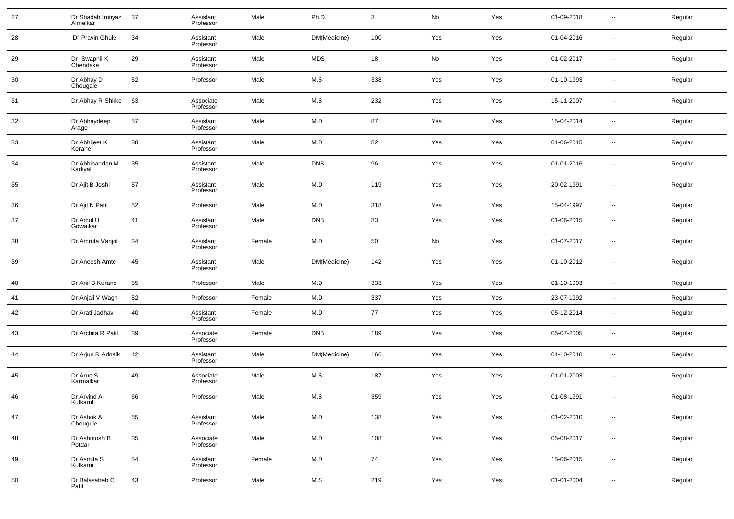| 27 | Dr Shadab Imtiyaz<br>Almelkar | 37 | Assistant<br>Professor | Male   | Ph.D         | 3   | No  | Yes | 01-09-2018 | --                       | Regular |
|----|-------------------------------|----|------------------------|--------|--------------|-----|-----|-----|------------|--------------------------|---------|
| 28 | Dr Pravin Ghule               | 34 | Assistant<br>Professor | Male   | DM(Medicine) | 100 | Yes | Yes | 01-04-2016 | $\sim$                   | Regular |
| 29 | Dr Swapnil K<br>Chendake      | 29 | Assistant<br>Professor | Male   | <b>MDS</b>   | 18  | No  | Yes | 01-02-2017 | ш,                       | Regular |
| 30 | Dr Abhay D<br>Chougale        | 52 | Professor              | Male   | M.S          | 338 | Yes | Yes | 01-10-1993 | $\sim$                   | Regular |
| 31 | Dr Abhay R Shirke             | 63 | Associate<br>Professor | Male   | M.S          | 232 | Yes | Yes | 15-11-2007 | ш,                       | Regular |
| 32 | Dr Abhaydeep<br>Arage         | 57 | Assistant<br>Professor | Male   | M.D          | 87  | Yes | Yes | 15-04-2014 | $\sim$                   | Regular |
| 33 | Dr Abhijeet K<br>Korane       | 38 | Assistant<br>Professor | Male   | M.D          | 82  | Yes | Yes | 01-06-2015 | ш,                       | Regular |
| 34 | Dr Abhinandan M<br>Kadiyal    | 35 | Assistant<br>Professor | Male   | <b>DNB</b>   | 96  | Yes | Yes | 01-01-2016 | $\sim$                   | Regular |
| 35 | Dr Ajit B Joshi               | 57 | Assistant<br>Professor | Male   | M.D          | 119 | Yes | Yes | 20-02-1991 | ш,                       | Regular |
| 36 | Dr Ajit N Patil               | 52 | Professor              | Male   | M.D          | 318 | Yes | Yes | 15-04-1997 | $\sim$                   | Regular |
| 37 | Dr Amol U<br>Gowaikar         | 41 | Assistant<br>Professor | Male   | <b>DNB</b>   | 83  | Yes | Yes | 01-06-2015 | --                       | Regular |
| 38 | Dr Amruta Vanjol              | 34 | Assistant<br>Professor | Female | M.D          | 50  | No  | Yes | 01-07-2017 | --                       | Regular |
| 39 | Dr Aneesh Amte                | 45 | Assistant<br>Professor | Male   | DM(Medicine) | 142 | Yes | Yes | 01-10-2012 | --                       | Regular |
| 40 | Dr Anil B Kurane              | 55 | Professor              | Male   | M.D          | 333 | Yes | Yes | 01-10-1993 | н.                       | Regular |
| 41 | Dr Anjali V Wagh              | 52 | Professor              | Female | M.D          | 337 | Yes | Yes | 23-07-1992 | --                       | Regular |
| 42 | Dr Arati Jadhav               | 40 | Assistant<br>Professor | Female | M.D          | 77  | Yes | Yes | 05-12-2014 | --                       | Regular |
| 43 | Dr Archita R Patil            | 39 | Associate<br>Professor | Female | <b>DNB</b>   | 189 | Yes | Yes | 05-07-2005 | --                       | Regular |
| 44 | Dr Arjun R Adnaik             | 42 | Assistant<br>Professor | Male   | DM(Medicine) | 166 | Yes | Yes | 01-10-2010 | --                       | Regular |
| 45 | Dr Arun S<br>Karmalkar        | 49 | Associate<br>Professor | Male   | M.S          | 187 | Yes | Yes | 01-01-2003 | --                       | Regular |
| 46 | Dr Arvind A<br>Kulkarni       | 66 | Professor              | Male   | M.S          | 359 | Yes | Yes | 01-08-1991 | $\overline{\phantom{a}}$ | Regular |
| 47 | Dr Ashok A<br>Chougule        | 55 | Assistant<br>Professor | Male   | M.D          | 138 | Yes | Yes | 01-02-2010 | $\overline{\phantom{a}}$ | Regular |
| 48 | Dr Ashutosh B<br>Potdar       | 35 | Associate<br>Professor | Male   | M.D          | 108 | Yes | Yes | 05-08-2017 | $\sim$                   | Regular |
| 49 | Dr Asmita S<br>Kulkarni       | 54 | Assistant<br>Professor | Female | M.D          | 74  | Yes | Yes | 15-06-2015 | $\sim$                   | Regular |
| 50 | Dr Balasaheb C<br>Patil       | 43 | Professor              | Male   | M.S          | 219 | Yes | Yes | 01-01-2004 | $\sim$                   | Regular |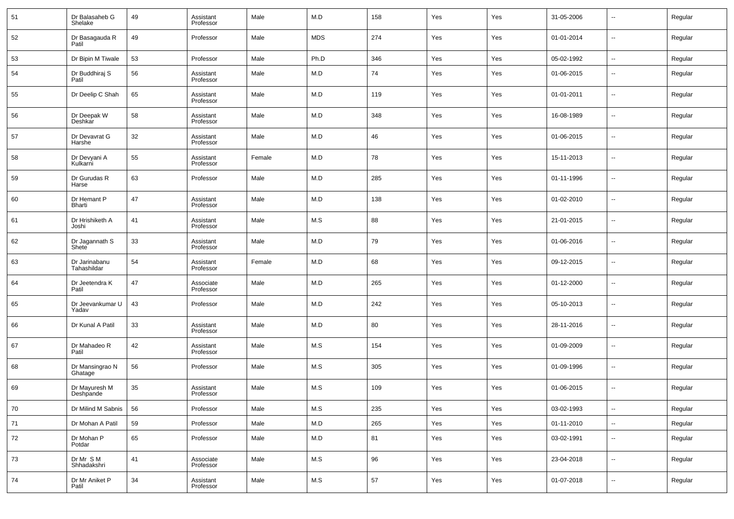| 51 | Dr Balasaheb G<br>Shelake    | 49 | Assistant<br>Professor | Male   | M.D        | 158    | Yes | Yes | 31-05-2006 | $\overline{\phantom{a}}$ | Regular |
|----|------------------------------|----|------------------------|--------|------------|--------|-----|-----|------------|--------------------------|---------|
| 52 | Dr Basagauda R<br>Patil      | 49 | Professor              | Male   | <b>MDS</b> | 274    | Yes | Yes | 01-01-2014 | $\overline{\phantom{a}}$ | Regular |
| 53 | Dr Bipin M Tiwale            | 53 | Professor              | Male   | Ph.D       | 346    | Yes | Yes | 05-02-1992 | $\overline{\phantom{a}}$ | Regular |
| 54 | Dr Buddhiraj S<br>Patil      | 56 | Assistant<br>Professor | Male   | M.D        | 74     | Yes | Yes | 01-06-2015 | $\overline{\phantom{a}}$ | Regular |
| 55 | Dr Deelip C Shah             | 65 | Assistant<br>Professor | Male   | M.D        | 119    | Yes | Yes | 01-01-2011 | $\overline{\phantom{a}}$ | Regular |
| 56 | Dr Deepak W<br>Deshkar       | 58 | Assistant<br>Professor | Male   | M.D        | 348    | Yes | Yes | 16-08-1989 | $\overline{\phantom{a}}$ | Regular |
| 57 | Dr Devavrat G<br>Harshe      | 32 | Assistant<br>Professor | Male   | M.D        | 46     | Yes | Yes | 01-06-2015 | $\overline{\phantom{a}}$ | Regular |
| 58 | Dr Devyani A<br>Kulkarni     | 55 | Assistant<br>Professor | Female | M.D        | 78     | Yes | Yes | 15-11-2013 | $\overline{\phantom{a}}$ | Regular |
| 59 | Dr Gurudas R<br>Harse        | 63 | Professor              | Male   | M.D        | 285    | Yes | Yes | 01-11-1996 | $\overline{\phantom{a}}$ | Regular |
| 60 | Dr Hemant P<br>Bharti        | 47 | Assistant<br>Professor | Male   | M.D        | 138    | Yes | Yes | 01-02-2010 | $\overline{\phantom{a}}$ | Regular |
| 61 | Dr Hrishiketh A<br>Joshi     | 41 | Assistant<br>Professor | Male   | M.S        | 88     | Yes | Yes | 21-01-2015 | $\overline{\phantom{a}}$ | Regular |
| 62 | Dr Jagannath S<br>Shete      | 33 | Assistant<br>Professor | Male   | M.D        | 79     | Yes | Yes | 01-06-2016 | $\overline{\phantom{a}}$ | Regular |
| 63 | Dr Jarinabanu<br>Tahashildar | 54 | Assistant<br>Professor | Female | M.D        | 68     | Yes | Yes | 09-12-2015 | $\overline{\phantom{a}}$ | Regular |
| 64 | Dr Jeetendra K<br>Patil      | 47 | Associate<br>Professor | Male   | M.D        | 265    | Yes | Yes | 01-12-2000 | $\overline{\phantom{a}}$ | Regular |
| 65 | Dr Jeevankumar U<br>Yadav    | 43 | Professor              | Male   | M.D        | 242    | Yes | Yes | 05-10-2013 | $\overline{\phantom{a}}$ | Regular |
| 66 | Dr Kunal A Patil             | 33 | Assistant<br>Professor | Male   | M.D        | 80     | Yes | Yes | 28-11-2016 | $\overline{\phantom{a}}$ | Regular |
| 67 | Dr Mahadeo R<br>Patil        | 42 | Assistant<br>Professor | Male   | M.S        | 154    | Yes | Yes | 01-09-2009 | $\overline{\phantom{a}}$ | Regular |
| 68 | Dr Mansingrao N<br>Ghatage   | 56 | Professor              | Male   | M.S        | 305    | Yes | Yes | 01-09-1996 | $\overline{\phantom{a}}$ | Regular |
| 69 | Dr Mayuresh M<br>Deshpande   | 35 | Assistant<br>Professor | Male   | M.S        | 109    | Yes | Yes | 01-06-2015 | $\overline{\phantom{a}}$ | Regular |
| 70 | Dr Milind M Sabnis           | 56 | Professor              | Male   | M.S        | 235    | Yes | Yes | 03-02-1993 | $\overline{\phantom{a}}$ | Regular |
| 71 | Dr Mohan A Patil             | 59 | Professor              | Male   | M.D        | 265    | Yes | Yes | 01-11-2010 | $\overline{\phantom{a}}$ | Regular |
| 72 | Dr Mohan P<br>Potdar         | 65 | Professor              | Male   | M.D        | 81     | Yes | Yes | 03-02-1991 | ۰.                       | Regular |
| 73 | Dr Mr S M<br>Shhadakshri     | 41 | Associate<br>Professor | Male   | M.S        | 96     | Yes | Yes | 23-04-2018 | $\overline{\phantom{a}}$ | Regular |
| 74 | Dr Mr Aniket P<br>Patil      | 34 | Assistant<br>Professor | Male   | M.S        | $57\,$ | Yes | Yes | 01-07-2018 | ۰.                       | Regular |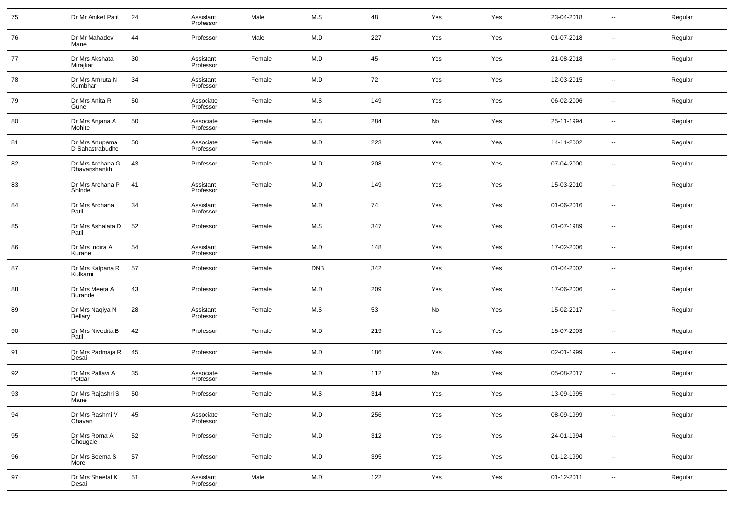| 75 | Dr Mr Aniket Patil                | 24 | Assistant<br>Professor | Male   | M.S        | 48  | Yes | Yes | 23-04-2018 | --                       | Regular |
|----|-----------------------------------|----|------------------------|--------|------------|-----|-----|-----|------------|--------------------------|---------|
| 76 | Dr Mr Mahadev<br>Mane             | 44 | Professor              | Male   | M.D        | 227 | Yes | Yes | 01-07-2018 | --                       | Regular |
| 77 | Dr Mrs Akshata<br>Mirajkar        | 30 | Assistant<br>Professor | Female | M.D        | 45  | Yes | Yes | 21-08-2018 | --                       | Regular |
| 78 | Dr Mrs Amruta N<br>Kumbhar        | 34 | Assistant<br>Professor | Female | M.D        | 72  | Yes | Yes | 12-03-2015 | --                       | Regular |
| 79 | Dr Mrs Anita R<br>Gune            | 50 | Associate<br>Professor | Female | M.S        | 149 | Yes | Yes | 06-02-2006 | --                       | Regular |
| 80 | Dr Mrs Anjana A<br>Mohite         | 50 | Associate<br>Professor | Female | M.S        | 284 | No  | Yes | 25-11-1994 | --                       | Regular |
| 81 | Dr Mrs Anupama<br>D Sahastrabudhe | 50 | Associate<br>Professor | Female | M.D        | 223 | Yes | Yes | 14-11-2002 | --                       | Regular |
| 82 | Dr Mrs Archana G<br>Dhavanshankh  | 43 | Professor              | Female | M.D        | 208 | Yes | Yes | 07-04-2000 | --                       | Regular |
| 83 | Dr Mrs Archana P<br>Shinde        | 41 | Assistant<br>Professor | Female | M.D        | 149 | Yes | Yes | 15-03-2010 | --                       | Regular |
| 84 | Dr Mrs Archana<br>Patil           | 34 | Assistant<br>Professor | Female | M.D        | 74  | Yes | Yes | 01-06-2016 | --                       | Regular |
| 85 | Dr Mrs Ashalata D<br>Patil        | 52 | Professor              | Female | M.S        | 347 | Yes | Yes | 01-07-1989 | --                       | Regular |
| 86 | Dr Mrs Indira A<br>Kurane         | 54 | Assistant<br>Professor | Female | M.D        | 148 | Yes | Yes | 17-02-2006 | --                       | Regular |
| 87 | Dr Mrs Kalpana R<br>Kulkarni      | 57 | Professor              | Female | <b>DNB</b> | 342 | Yes | Yes | 01-04-2002 | --                       | Regular |
| 88 | Dr Mrs Meeta A<br>Burande         | 43 | Professor              | Female | M.D        | 209 | Yes | Yes | 17-06-2006 | --                       | Regular |
| 89 | Dr Mrs Naqiya N<br>Bellary        | 28 | Assistant<br>Professor | Female | M.S        | 53  | No  | Yes | 15-02-2017 | --                       | Regular |
| 90 | Dr Mrs Nivedita B<br>Patil        | 42 | Professor              | Female | M.D        | 219 | Yes | Yes | 15-07-2003 | --                       | Regular |
| 91 | Dr Mrs Padmaja R<br>Desai         | 45 | Professor              | Female | M.D        | 186 | Yes | Yes | 02-01-1999 | --                       | Regular |
| 92 | Dr Mrs Pallavi A<br>Potdar        | 35 | Associate<br>Professor | Female | M.D        | 112 | No  | Yes | 05-08-2017 | --                       | Regular |
| 93 | Dr Mrs Rajashri S<br>Mane         | 50 | Professor              | Female | M.S        | 314 | Yes | Yes | 13-09-1995 | ۰.                       | Regular |
| 94 | Dr Mrs Rashmi V<br>Chavan         | 45 | Associate<br>Professor | Female | M.D        | 256 | Yes | Yes | 08-09-1999 | $\sim$                   | Regular |
| 95 | Dr Mrs Roma A<br>Chougale         | 52 | Professor              | Female | M.D        | 312 | Yes | Yes | 24-01-1994 | $\overline{\phantom{a}}$ | Regular |
| 96 | Dr Mrs Seema S<br>More            | 57 | Professor              | Female | M.D        | 395 | Yes | Yes | 01-12-1990 | $\sim$                   | Regular |
| 97 | Dr Mrs Sheetal K<br>Desai         | 51 | Assistant<br>Professor | Male   | M.D        | 122 | Yes | Yes | 01-12-2011 | $\sim$                   | Regular |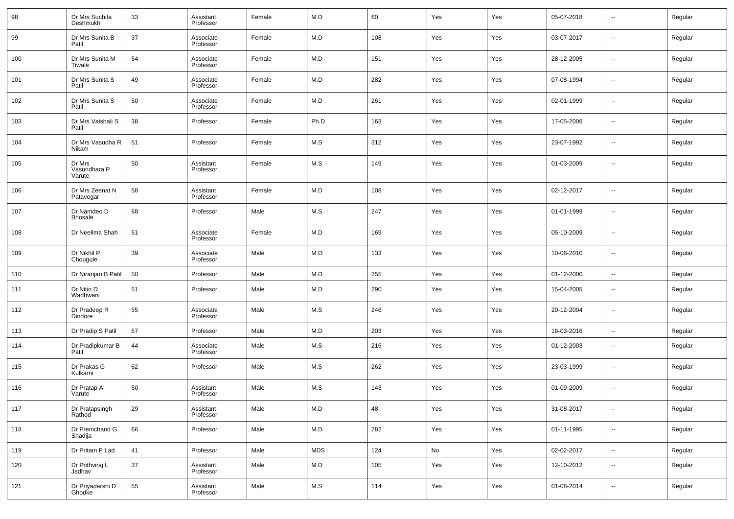| 98  | Dr Mrs Suchita<br>Deshmukh       | 33 | Assistant<br>Professor | Female | M.D        | 60  | Yes | Yes | 05-07-2018 | --                       | Regular |
|-----|----------------------------------|----|------------------------|--------|------------|-----|-----|-----|------------|--------------------------|---------|
| 99  | Dr Mrs Sunita B<br>Patil         | 37 | Associate<br>Professor | Female | M.D        | 108 | Yes | Yes | 03-07-2017 | --                       | Regular |
| 100 | Dr Mrs Sunita M<br>Tiwale        | 54 | Associate<br>Professor | Female | M.D        | 151 | Yes | Yes | 28-12-2005 | н.                       | Regular |
| 101 | Dr Mrs Sunita S<br>Patil         | 49 | Associate<br>Professor | Female | M.D        | 282 | Yes | Yes | 07-08-1994 | --                       | Regular |
| 102 | Dr Mrs Sunita S<br>Patil         | 50 | Associate<br>Professor | Female | M.D        | 261 | Yes | Yes | 02-01-1999 | --                       | Regular |
| 103 | Dr Mrs Vaishali S<br>Patil       | 38 | Professor              | Female | Ph.D       | 163 | Yes | Yes | 17-05-2006 | н.                       | Regular |
| 104 | Dr Mrs Vasudha R<br>Nikam        | 51 | Professor              | Female | M.S        | 312 | Yes | Yes | 23-07-1992 | --                       | Regular |
| 105 | Dr Mrs<br>Vasundhara P<br>Varute | 50 | Assistant<br>Professor | Female | M.S        | 149 | Yes | Yes | 01-03-2009 | --                       | Regular |
| 106 | Dr Mrs Zeenat N<br>Patavegar     | 58 | Assistant<br>Professor | Female | M.D        | 108 | Yes | Yes | 02-12-2017 | $\overline{\phantom{a}}$ | Regular |
| 107 | Dr Namdeo D<br>Bhosale           | 68 | Professor              | Male   | M.S        | 247 | Yes | Yes | 01-01-1999 | ÷.                       | Regular |
| 108 | Dr Neelima Shah                  | 51 | Associate<br>Professor | Female | M.D        | 169 | Yes | Yes | 05-10-2009 | Ξ.                       | Regular |
| 109 | Dr Nikhil P<br>Chougule          | 39 | Associate<br>Professor | Male   | M.D        | 133 | Yes | Yes | 10-06-2010 | ÷.                       | Regular |
| 110 | Dr Niranjan B Patil              | 50 | Professor              | Male   | M.D        | 255 | Yes | Yes | 01-12-2000 | Ξ.                       | Regular |
| 111 | Dr Nitin D<br>Wadhwani           | 51 | Professor              | Male   | M.D        | 290 | Yes | Yes | 15-04-2005 | --                       | Regular |
| 112 | Dr Pradeep R<br>Dindore          | 55 | Associate<br>Professor | Male   | M.S        | 246 | Yes | Yes | 20-12-2004 | --                       | Regular |
| 113 | Dr Pradip S Patil                | 57 | Professor              | Male   | M.D        | 203 | Yes | Yes | 16-03-2016 | −−                       | Regular |
| 114 | Dr Pradipkumar B<br>Patil        | 44 | Associate<br>Professor | Male   | M.S        | 216 | Yes | Yes | 01-12-2003 | --                       | Regular |
| 115 | Dr Prakas G<br>Kulkarni          | 62 | Professor              | Male   | M.S        | 262 | Yes | Yes | 23-03-1999 | --                       | Regular |
| 116 | Dr Pratap A<br>Varute            | 50 | Assistant<br>Professor | Male   | M.S        | 143 | Yes | Yes | 01-09-2009 | --                       | Regular |
| 117 | Dr Pratapsingh<br>Rathod         | 29 | Assistant<br>Professor | Male   | M.D        | 48  | Yes | Yes | 31-08-2017 | --                       | Regular |
| 118 | Dr Premchand G<br>Shadija        | 66 | Professor              | Male   | M.D        | 282 | Yes | Yes | 01-11-1995 | $\sim$                   | Regular |
| 119 | Dr Pritam P Lad                  | 41 | Professor              | Male   | <b>MDS</b> | 124 | No  | Yes | 02-02-2017 | щ.                       | Regular |
| 120 | Dr Prithviraj L<br>Jadhav        | 37 | Assistant<br>Professor | Male   | M.D        | 105 | Yes | Yes | 12-10-2012 | $\sim$                   | Regular |
| 121 | Dr Priyadarshi D<br>Ghodke       | 55 | Assistant<br>Professor | Male   | M.S        | 114 | Yes | Yes | 01-08-2014 | $\sim$                   | Regular |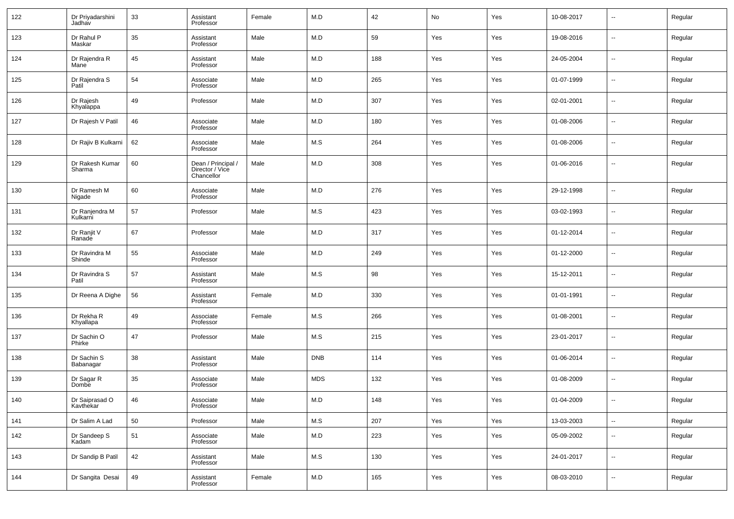| 122 | Dr Priyadarshini<br>Jadhav         | 33 | Assistant<br>Professor                              | Female | M.D        | 42  | No  | Yes | 10-08-2017 | $\overline{\phantom{a}}$ | Regular |
|-----|------------------------------------|----|-----------------------------------------------------|--------|------------|-----|-----|-----|------------|--------------------------|---------|
| 123 | Dr Rahul P<br>Maskar               | 35 | Assistant<br>Professor                              | Male   | M.D        | 59  | Yes | Yes | 19-08-2016 | $\overline{\phantom{a}}$ | Regular |
| 124 | Dr Rajendra R<br>Mane <sup>1</sup> | 45 | Assistant<br>Professor                              | Male   | M.D        | 188 | Yes | Yes | 24-05-2004 | $\overline{\phantom{a}}$ | Regular |
| 125 | Dr Rajendra S<br>Patil             | 54 | Associate<br>Professor                              | Male   | M.D        | 265 | Yes | Yes | 01-07-1999 | $\overline{\phantom{a}}$ | Regular |
| 126 | Dr Rajesh<br>Khyalappa             | 49 | Professor                                           | Male   | M.D        | 307 | Yes | Yes | 02-01-2001 | $\overline{\phantom{a}}$ | Regular |
| 127 | Dr Rajesh V Patil                  | 46 | Associate<br>Professor                              | Male   | M.D        | 180 | Yes | Yes | 01-08-2006 | $\overline{\phantom{a}}$ | Regular |
| 128 | Dr Rajiv B Kulkarni                | 62 | Associate<br>Professor                              | Male   | M.S        | 264 | Yes | Yes | 01-08-2006 | $\overline{\phantom{a}}$ | Regular |
| 129 | Dr Rakesh Kumar<br>Sharma          | 60 | Dean / Principal /<br>Director / Vice<br>Chancellor | Male   | M.D        | 308 | Yes | Yes | 01-06-2016 | $\overline{\phantom{a}}$ | Regular |
| 130 | Dr Ramesh M<br>Nigade              | 60 | Associate<br>Professor                              | Male   | M.D        | 276 | Yes | Yes | 29-12-1998 | $\overline{\phantom{a}}$ | Regular |
| 131 | Dr Ranjendra M<br>Kulkarni         | 57 | Professor                                           | Male   | M.S        | 423 | Yes | Yes | 03-02-1993 | $\overline{\phantom{a}}$ | Regular |
| 132 | Dr Ranjit V<br>Ranade              | 67 | Professor                                           | Male   | M.D        | 317 | Yes | Yes | 01-12-2014 | $\overline{\phantom{a}}$ | Regular |
| 133 | Dr Ravindra M<br>Shinde            | 55 | Associate<br>Professor                              | Male   | M.D        | 249 | Yes | Yes | 01-12-2000 | $\overline{\phantom{a}}$ | Regular |
| 134 | Dr Ravindra S<br>Patil             | 57 | Assistant<br>Professor                              | Male   | M.S        | 98  | Yes | Yes | 15-12-2011 | $\overline{\phantom{a}}$ | Regular |
| 135 | Dr Reena A Dighe                   | 56 | Assistant<br>Professor                              | Female | M.D        | 330 | Yes | Yes | 01-01-1991 | $\overline{\phantom{a}}$ | Regular |
| 136 | Dr Rekha R<br>Khyallapa            | 49 | Associate<br>Professor                              | Female | M.S        | 266 | Yes | Yes | 01-08-2001 | $\overline{\phantom{a}}$ | Regular |
| 137 | Dr Sachin O<br>Phirke              | 47 | Professor                                           | Male   | M.S        | 215 | Yes | Yes | 23-01-2017 | $\overline{\phantom{a}}$ | Regular |
| 138 | Dr Sachin S<br>Babanagar           | 38 | Assistant<br>Professor                              | Male   | <b>DNB</b> | 114 | Yes | Yes | 01-06-2014 | $\overline{\phantom{a}}$ | Regular |
| 139 | Dr Sagar R<br>Dombe                | 35 | Associate<br>Professor                              | Male   | <b>MDS</b> | 132 | Yes | Yes | 01-08-2009 | $\overline{\phantom{a}}$ | Regular |
| 140 | Dr Saiprasad O<br>Kavthekar        | 46 | Associate<br>Professor                              | Male   | M.D        | 148 | Yes | Yes | 01-04-2009 |                          | Regular |
| 141 | Dr Salim A Lad                     | 50 | Professor                                           | Male   | M.S        | 207 | Yes | Yes | 13-03-2003 | $\overline{\phantom{a}}$ | Regular |
| 142 | Dr Sandeep S<br>Kadam              | 51 | Associate<br>Professor                              | Male   | M.D        | 223 | Yes | Yes | 05-09-2002 | $\overline{\phantom{a}}$ | Regular |
| 143 | Dr Sandip B Patil                  | 42 | Assistant<br>Professor                              | Male   | M.S        | 130 | Yes | Yes | 24-01-2017 | $\overline{\phantom{a}}$ | Regular |
| 144 | Dr Sangita Desai                   | 49 | Assistant<br>Professor                              | Female | M.D        | 165 | Yes | Yes | 08-03-2010 | ۰.                       | Regular |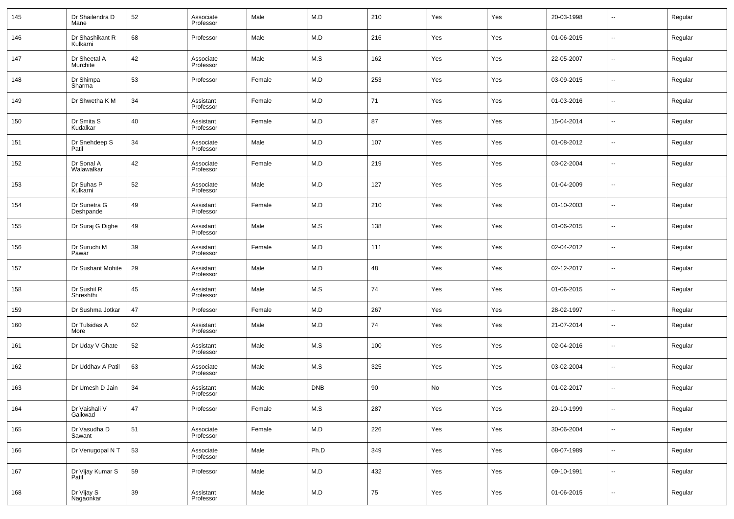| 145 | Dr Shailendra D<br>Mane          | 52 | Associate<br>Professor | Male   | M.D        | 210 | Yes | Yes | 20-03-1998 | $\overline{\phantom{a}}$ | Regular |
|-----|----------------------------------|----|------------------------|--------|------------|-----|-----|-----|------------|--------------------------|---------|
| 146 | Dr Shashikant R<br>Kulkarni      | 68 | Professor              | Male   | M.D        | 216 | Yes | Yes | 01-06-2015 | ⊷                        | Regular |
| 147 | Dr Sheetal A<br>Murchite         | 42 | Associate<br>Professor | Male   | M.S        | 162 | Yes | Yes | 22-05-2007 | ⊷                        | Regular |
| 148 | Dr Shimpa<br>Sharma <sup>1</sup> | 53 | Professor              | Female | M.D        | 253 | Yes | Yes | 03-09-2015 | $\overline{\phantom{a}}$ | Regular |
| 149 | Dr Shwetha K M                   | 34 | Assistant<br>Professor | Female | M.D        | 71  | Yes | Yes | 01-03-2016 | ⊶.                       | Regular |
| 150 | Dr Smita S<br>Kudalkar           | 40 | Assistant<br>Professor | Female | M.D        | 87  | Yes | Yes | 15-04-2014 | $\overline{\phantom{a}}$ | Regular |
| 151 | Dr Snehdeep S<br>Patil           | 34 | Associate<br>Professor | Male   | M.D        | 107 | Yes | Yes | 01-08-2012 | ⊶.                       | Regular |
| 152 | Dr Sonal A<br>Walawalkar         | 42 | Associate<br>Professor | Female | M.D        | 219 | Yes | Yes | 03-02-2004 | $\overline{\phantom{a}}$ | Regular |
| 153 | Dr Suhas P<br>Kulkarni           | 52 | Associate<br>Professor | Male   | M.D        | 127 | Yes | Yes | 01-04-2009 | ⊷                        | Regular |
| 154 | Dr Sunetra G<br>Deshpande        | 49 | Assistant<br>Professor | Female | M.D        | 210 | Yes | Yes | 01-10-2003 | $\overline{\phantom{a}}$ | Regular |
| 155 | Dr Suraj G Dighe                 | 49 | Assistant<br>Professor | Male   | M.S        | 138 | Yes | Yes | 01-06-2015 | $\overline{\phantom{a}}$ | Regular |
| 156 | Dr Suruchi M<br>Pawar            | 39 | Assistant<br>Professor | Female | M.D        | 111 | Yes | Yes | 02-04-2012 | $\overline{\phantom{a}}$ | Regular |
| 157 | Dr Sushant Mohite                | 29 | Assistant<br>Professor | Male   | M.D        | 48  | Yes | Yes | 02-12-2017 | $\overline{\phantom{a}}$ | Regular |
| 158 | Dr Sushil R<br>Shreshthi         | 45 | Assistant<br>Professor | Male   | M.S        | 74  | Yes | Yes | 01-06-2015 | ⊷                        | Regular |
| 159 | Dr Sushma Jotkar                 | 47 | Professor              | Female | M.D        | 267 | Yes | Yes | 28-02-1997 | $\overline{\phantom{a}}$ | Regular |
| 160 | Dr Tulsidas A<br>More            | 62 | Assistant<br>Professor | Male   | M.D        | 74  | Yes | Yes | 21-07-2014 | ⊷                        | Regular |
| 161 | Dr Uday V Ghate                  | 52 | Assistant<br>Professor | Male   | M.S        | 100 | Yes | Yes | 02-04-2016 | $\overline{\phantom{a}}$ | Regular |
| 162 | Dr Uddhav A Patil                | 63 | Associate<br>Professor | Male   | M.S        | 325 | Yes | Yes | 03-02-2004 | ⊷                        | Regular |
| 163 | Dr Umesh D Jain                  | 34 | Assistant<br>Professor | Male   | <b>DNB</b> | 90  | No  | Yes | 01-02-2017 | --                       | Regular |
| 164 | Dr Vaishali V<br>Gaikwad         | 47 | Professor              | Female | M.S        | 287 | Yes | Yes | 20-10-1999 | ⊷                        | Regular |
| 165 | Dr Vasudha D<br>Sawant           | 51 | Associate<br>Professor | Female | M.D        | 226 | Yes | Yes | 30-06-2004 | н.                       | Regular |
| 166 | Dr Venugopal NT                  | 53 | Associate<br>Professor | Male   | Ph.D       | 349 | Yes | Yes | 08-07-1989 | $\sim$                   | Regular |
| 167 | Dr Vijay Kumar S<br>Patil        | 59 | Professor              | Male   | M.D        | 432 | Yes | Yes | 09-10-1991 | $\sim$                   | Regular |
| 168 | Dr Vijay S<br>Nagaonkar          | 39 | Assistant<br>Professor | Male   | M.D        | 75  | Yes | Yes | 01-06-2015 | $\sim$                   | Regular |